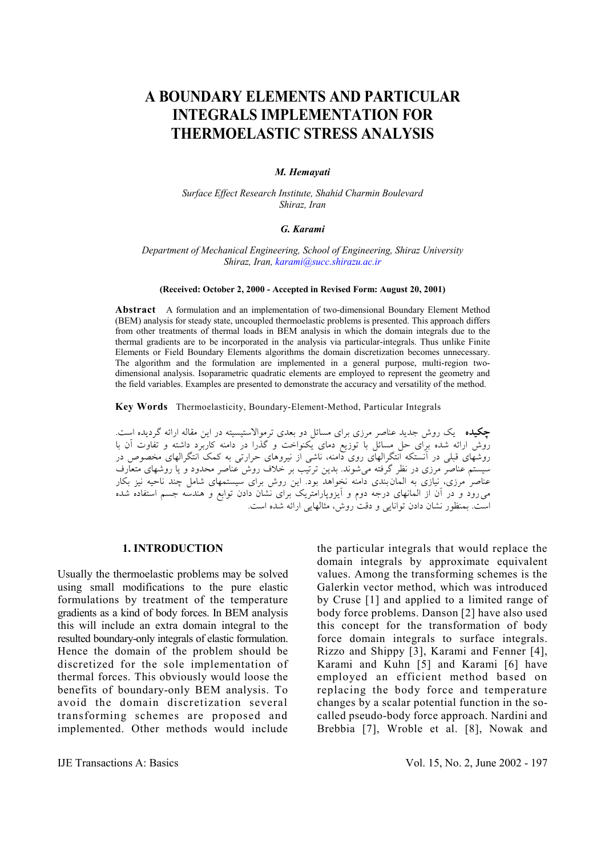# **A BOUNDARY ELEMENTS AND PARTICULAR INTEGRALS IMPLEMENTATION FOR THERMOELASTIC STRESS ANALYSIS**

## *M. Hemayati*

*Surface Effect Research Institute, Shahid Charmin Boulevard Shiraz, Iran* 

### *G. Karami*

*Department of Mechanical Engineering, School of Engineering, Shiraz University Shiraz, Iran, karami@succ.shirazu.ac.ir*

#### **(Received: October 2, 2000 - Accepted in Revised Form: August 20, 2001)**

**Abstract** A formulation and an implementation of two-dimensional Boundary Element Method (BEM) analysis for steady state, uncoupled thermoelastic problems is presented. This approach differs from other treatments of thermal loads in BEM analysis in which the domain integrals due to the thermal gradients are to be incorporated in the analysis via particular-integrals. Thus unlike Finite Elements or Field Boundary Elements algorithms the domain discretization becomes unnecessary. The algorithm and the formulation are implemented in a general purpose, multi-region twodimensional analysis. Isoparametric quadratic elements are employed to represent the geometry and the field variables. Examples are presented to demonstrate the accuracy and versatility of the method.

**Key Words** Thermoelasticity, Boundary-Element-Method, Particular Integrals

**چكيده** يك روش جديد عناصر مرزي براي مسائل دو بعدي ترموالاستيسيته در اين مقاله ارائه گرديده است. روش ارائه شده براي حل مسائل با توزيع دماي يكنواخت و گذرا در دامنه كاربرد داشته و تفاوت آن با روشهاي قبلي در آنستكه انتگرالهاي روي دامنه، ناشي از نيروهاي حرارتي به كمك انتگرالهاي مخصوص در سيستم عناصر مرزي در نظر گرفته ميشوند. بدين ترتيب بر خلاف روش عناصر محدود و يا روشهاي متعارف عناصر مرزي، نيازي به المان بندي دامنه نخواهد بود. اين روش براي سيستمهاي شامل چند ناحيه نيز بكار ميرود و در آن از المانهاي درجه دوم و آيزوپارامتريك براي نشان دادن توابع و هندسه جسم استفاده شده است. بمنظور نشان دادن توانايي و دقت روش، مثالهايي ارائه شده است.

#### **1. INTRODUCTION**

Usually the thermoelastic problems may be solved using small modifications to the pure elastic formulations by treatment of the temperature gradients as a kind of body forces. In BEM analysis this will include an extra domain integral to the resulted boundary-only integrals of elastic formulation. Hence the domain of the problem should be discretized for the sole implementation of thermal forces. This obviously would loose the benefits of boundary-only BEM analysis. To avoid the domain discretization several transforming schemes are proposed and implemented. Other methods would include the particular integrals that would replace the domain integrals by approximate equivalent values. Among the transforming schemes is the Galerkin vector method, which was introduced by Cruse [1] and applied to a limited range of body force problems. Danson [2] have also used this concept for the transformation of body force domain integrals to surface integrals. Rizzo and Shippy [3], Karami and Fenner [4], Karami and Kuhn [5] and Karami [6] have employed an efficient method based on replacing the body force and temperature changes by a scalar potential function in the socalled pseudo-body force approach. Nardini and Brebbia [7], Wroble et al. [8], Nowak and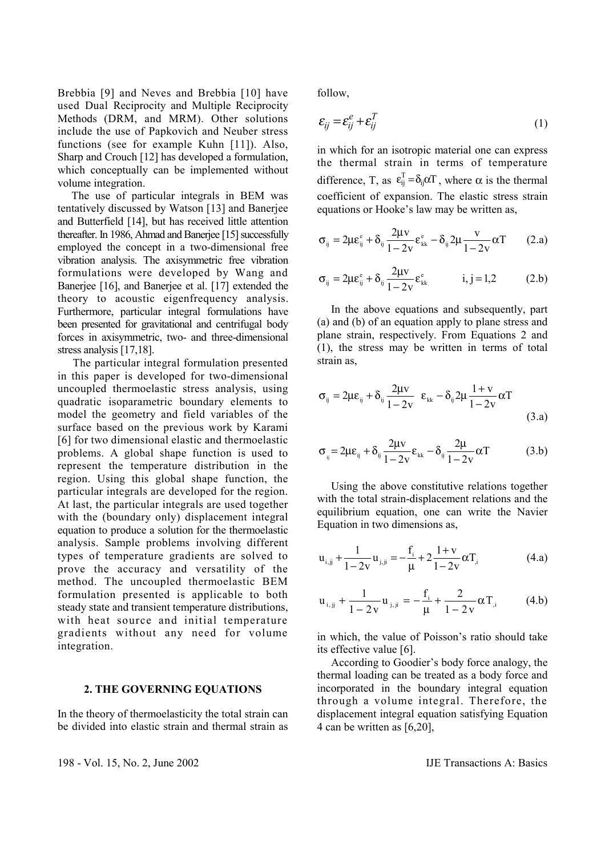Brebbia [9] and Neves and Brebbia [10] have used Dual Reciprocity and Multiple Reciprocity Methods (DRM, and MRM). Other solutions include the use of Papkovich and Neuber stress functions (see for example Kuhn [11]). Also, Sharp and Crouch [12] has developed a formulation, which conceptually can be implemented without volume integration.

 The use of particular integrals in BEM was tentatively discussed by Watson [13] and Banerjee and Butterfield [14], but has received little attention thereafter. In 1986, Ahmad and Banerjee [15] successfully employed the concept in a two-dimensional free vibration analysis. The axisymmetric free vibration formulations were developed by Wang and Banerjee [16], and Banerjee et al. [17] extended the theory to acoustic eigenfrequency analysis. Furthermore, particular integral formulations have been presented for gravitational and centrifugal body forces in axisymmetric, two- and three-dimensional stress analysis [17,18].

 The particular integral formulation presented in this paper is developed for two-dimensional uncoupled thermoelastic stress analysis, using quadratic isoparametric boundary elements to model the geometry and field variables of the surface based on the previous work by Karami [6] for two dimensional elastic and thermoelastic problems. A global shape function is used to represent the temperature distribution in the region. Using this global shape function, the particular integrals are developed for the region. At last, the particular integrals are used together with the (boundary only) displacement integral equation to produce a solution for the thermoelastic analysis. Sample problems involving different types of temperature gradients are solved to prove the accuracy and versatility of the method. The uncoupled thermoelastic BEM formulation presented is applicable to both steady state and transient temperature distributions, with heat source and initial temperature gradients without any need for volume integration.

### **2. THE GOVERNING EQUATIONS**

In the theory of thermoelasticity the total strain can be divided into elastic strain and thermal strain as follow,

$$
\varepsilon_{ij} = \varepsilon_{ij}^e + \varepsilon_{ij}^T
$$
 (1)

in which for an isotropic material one can express the thermal strain in terms of temperature difference, T, as  $\epsilon_{ij}^T = \delta_{ij} \alpha T$ , where  $\alpha$  is the thermal coefficient of expansion. The elastic stress strain equations or Hooke's law may be written as,

$$
\sigma_{ij} = 2\mu \varepsilon_{ij}^{\rm e} + \delta_{ij} \frac{2\mu v}{1 - 2v} \varepsilon_{kk}^{\rm e} - \delta_{ij} 2\mu \frac{v}{1 - 2v} \alpha T \qquad (2.a)
$$

$$
\sigma_{ij} = 2\mu \varepsilon_{ij}^e + \delta_{ij} \frac{2\mu v}{1 - 2v} \varepsilon_{kk}^e \qquad i, j = 1, 2 \qquad (2.b)
$$

 In the above equations and subsequently, part (a) and (b) of an equation apply to plane stress and plane strain, respectively. From Equations 2 and (1), the stress may be written in terms of total strain as,

$$
\sigma_{ij} = 2\mu\varepsilon_{ij} + \delta_{ij}\frac{2\mu v}{1-2v} \ \varepsilon_{kk} - \delta_{ij}2\mu\frac{1+v}{1-2v}\alpha T
$$
\n(3.a)

$$
\sigma_{ij} = 2\mu\varepsilon_{ij} + \delta_{ij}\frac{2\mu v}{1 - 2v}\varepsilon_{kk} - \delta_{ij}\frac{2\mu}{1 - 2v}\alpha T
$$
 (3.b)

 Using the above constitutive relations together with the total strain-displacement relations and the equilibrium equation, one can write the Navier Equation in two dimensions as,

$$
\mathbf{u}_{i,jj} + \frac{1}{1 - 2v} \mathbf{u}_{j,ji} = -\frac{\mathbf{f}_i}{\mu} + 2\frac{1 + v}{1 - 2v} \alpha \mathbf{T}_j \tag{4.a}
$$

$$
\mathbf{u}_{i,jj} + \frac{1}{1 - 2v} \mathbf{u}_{j,jj} = -\frac{\mathbf{f}_i}{\mu} + \frac{2}{1 - 2v} \alpha \mathbf{T}_{,i} \tag{4.b}
$$

in which, the value of Poisson's ratio should take its effective value [6].

 According to Goodier's body force analogy, the thermal loading can be treated as a body force and incorporated in the boundary integral equation through a volume integral. Therefore, the displacement integral equation satisfying Equation 4 can be written as [6,20],

198 - Vol. 15, No. 2, June 2002 IJE Transactions A: Basics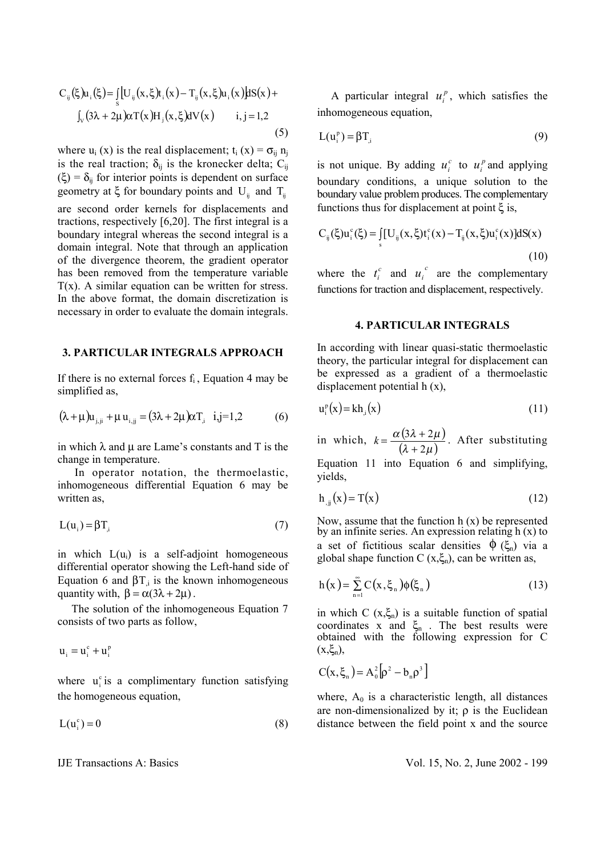$$
C_{ij}(\xi)u_i(\xi) = \int_s [U_{ij}(x,\xi)t_i(x) - T_{ij}(x,\xi)u_i(x)]dS(x) +
$$
  

$$
\int_V (3\lambda + 2\mu)\alpha T(x)H_j(x,\xi)dV(x) \qquad i,j=1,2
$$
  
(5)

where  $u_i(x)$  is the real displacement;  $t_i(x) = \sigma_{ij} n_j$ is the real traction;  $\delta_{ij}$  is the kronecker delta; C<sub>ij</sub>  $(\xi) = \delta_{ij}$  for interior points is dependent on surface geometry at  $\xi$  for boundary points and U<sub>ii</sub> and T<sub>ii</sub> are second order kernels for displacements and tractions, respectively [6,20]. The first integral is a boundary integral whereas the second integral is a domain integral. Note that through an application of the divergence theorem, the gradient operator has been removed from the temperature variable  $T(x)$ . A similar equation can be written for stress. In the above format, the domain discretization is necessary in order to evaluate the domain integrals.

## **3. PARTICULAR INTEGRALS APPROACH**

If there is no external forces  $f_i$ , Equation 4 may be simplified as,

$$
(\lambda + \mu)u_{j,j} + \mu u_{i,j} = (3\lambda + 2\mu)\alpha T_{j} \quad i,j = 1,2
$$
 (6)

in which  $\lambda$  and  $\mu$  are Lame's constants and T is the change in temperature.

 In operator notation, the thermoelastic, inhomogeneous differential Equation 6 may be written as,

$$
L(u_i) = \beta T_{i} \tag{7}
$$

in which  $L(u_i)$  is a self-adjoint homogeneous differential operator showing the Left-hand side of Equation 6 and  $βT_i$  is the known inhomogeneous quantity with,  $\beta = \alpha(3\lambda + 2\mu)$ .

 The solution of the inhomogeneous Equation 7 consists of two parts as follow,

$$
u_i = u_i^c + u_i^p
$$

where  $u_i^c$  is a complimentary function satisfying the homogeneous equation,

$$
L(u_i^c) = 0 \tag{8}
$$

A particular integral  $u_i^p$ , which satisfies the inhomogeneous equation,

$$
L(u_i^p) = \beta T_{i}
$$
 (9)

is not unique. By adding  $u_i^c$  to  $u_i^p$  and applying boundary conditions, a unique solution to the boundary value problem produces. The complementary functions thus for displacement at point  $\xi$  is,

$$
C_{ij}(\xi)u_i^c(\xi) = \iint_S [U_{ij}(x,\xi)t_i^c(x) - T_{ij}(x,\xi)u_i^c(x)]dS(x)
$$
\n(10)

where the  $t_i^c$  and  $u_i^c$  are the complementary functions for traction and displacement, respectively.

#### **4. PARTICULAR INTEGRALS**

In according with linear quasi-static thermoelastic theory, the particular integral for displacement can be expressed as a gradient of a thermoelastic displacement potential h (x),

$$
\mathbf{u}_{i}^{\mathbf{p}}(\mathbf{x}) = \mathbf{k} \mathbf{h}_{i}(\mathbf{x})
$$
\n(11)

in which,  $k = \frac{\alpha (3\lambda + 2\mu)}{2\lambda}$  $(\lambda + 2\mu)$  $\alpha$  (3 $\lambda$  + 2 $\mu$ 2  $3\lambda + 2$ +  $k = \frac{\alpha(3\lambda + 2\mu)}{\lambda(3\lambda + 2\mu)}$ . After substituting

Equation 11 into Equation 6 and simplifying, yields,

$$
h_{ij}(x) = T(x) \tag{12}
$$

Now, assume that the function  $h(x)$  be represented by an infinite series. An expression relating h (x) to a set of fictitious scalar densities  $\phi$  ( $\xi_n$ ) via a global shape function C  $(x, \xi_n)$ , can be written as,

$$
h(x) = \sum_{n=1}^{\infty} C(x, \xi_n) \phi(\xi_n)
$$
 (13)

in which C  $(x,\xi_n)$  is a suitable function of spatial coordinates x and  $\xi_n$ . The best results were obtained with the following expression for C  $(x,\xi_n),$ 

$$
C(x,\xi_n)=A_0^2\big[\rho^2-b_n\rho^3\big]
$$

where,  $A_0$  is a characteristic length, all distances are non-dimensionalized by it;  $\rho$  is the Euclidean distance between the field point x and the source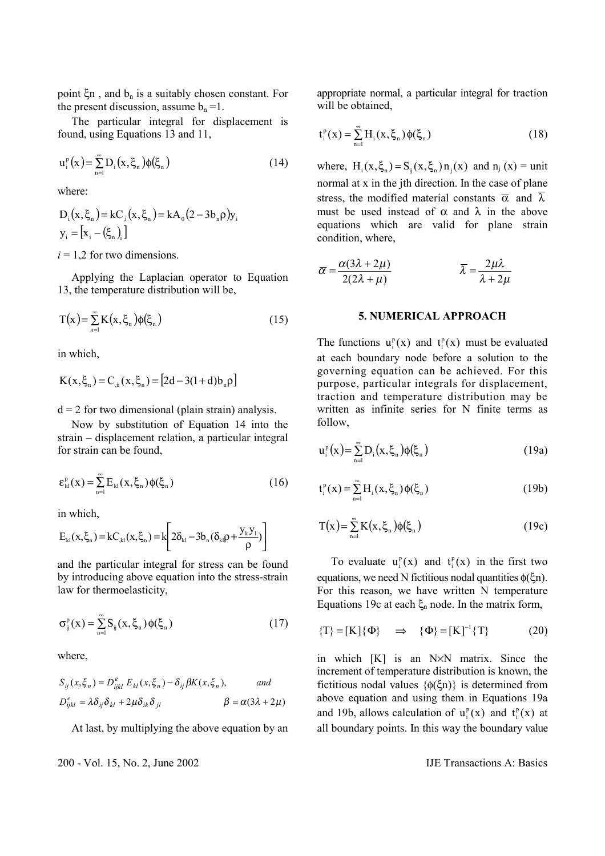point  $\xi$ n, and  $b_n$  is a suitably chosen constant. For the present discussion, assume  $b_n = 1$ .

 The particular integral for displacement is found, using Equations 13 and 11,

$$
u_i^p(x) = \sum_{n=1}^{\infty} D_i(x, \xi_n) \phi(\xi_n)
$$
 (14)

where:

$$
D_{i}(x, \xi_{n}) = kC_{i}(x, \xi_{n}) = kA_{0}(2 - 3b_{n}\rho)y_{i}
$$
  

$$
y_{i} = [x_{i} - (\xi_{n})_{i}]
$$

 $i = 1.2$  for two dimensions.

 Applying the Laplacian operator to Equation 13, the temperature distribution will be,

$$
T(x) = \sum_{n=1}^{\infty} K(x, \xi_n) \phi(\xi_n)
$$
 (15)

in which,

$$
K(x, \xi_n) = C_{\mu}(x, \xi_n) = [2d - 3(1 + d)b_n \rho]
$$

 $d = 2$  for two dimensional (plain strain) analysis.

 Now by substitution of Equation 14 into the strain – displacement relation, a particular integral for strain can be found,

$$
\varepsilon_{kl}^{p}(x) = \sum_{n=1}^{\infty} E_{kl}(x, \xi_{n}) \phi(\xi_{n})
$$
\n(16)

in which,

$$
E_{kl}(x, \xi_n) = kC_{kl}(x, \xi_n) = k \left[ 2\delta_{kl} - 3b_n(\delta_{kl}\rho + \frac{y_k y_l}{\rho}) \right]
$$

and the particular integral for stress can be found by introducing above equation into the stress-strain law for thermoelasticity,

$$
\sigma_{ij}^p(x) = \sum_{n=1}^{\infty} S_{ij}(x, \xi_n) \phi(\xi_n)
$$
 (17)

where,

$$
S_{ij}(x,\xi_n) = D_{ijkl}^e E_{kl}(x,\xi_n) - \delta_{ij} \beta K(x,\xi_n), \quad \text{and}
$$
  

$$
D_{ijkl}^e = \lambda \delta_{ij} \delta_{kl} + 2\mu \delta_{ik} \delta_{jl} \qquad \beta = \alpha (3\lambda + 2\mu)
$$

At last, by multiplying the above equation by an

200 - Vol. 15, No. 2, June 2002 IJE Transactions A: Basics

appropriate normal, a particular integral for traction will be obtained,

$$
t_i^p(x) = \sum_{n=1}^{\infty} H_i(x, \xi_n) \phi(\xi_n)
$$
 (18)

where,  $H_i(x, \xi_n) = S_{ii}(x, \xi_n) n_i(x)$  and  $n_i(x) = unit$ normal at x in the jth direction. In the case of plane stress, the modified material constants  $\bar{\alpha}$  and  $\bar{\lambda}$ must be used instead of  $\alpha$  and  $\lambda$  in the above equations which are valid for plane strain condition, where,

$$
\overline{\alpha} = \frac{\alpha(3\lambda + 2\mu)}{2(2\lambda + \mu)} \qquad \overline{\lambda} = \frac{2\mu\lambda}{\lambda + 2\mu}
$$

#### **5. NUMERICAL APPROACH**

The functions  $u_i^p(x)$  and  $t_i^p(x)$  must be evaluated at each boundary node before a solution to the governing equation can be achieved. For this purpose, particular integrals for displacement, traction and temperature distribution may be written as infinite series for N finite terms as follow,

$$
u_i^p(x) = \sum_{n=1}^{\infty} D_i(x, \xi_n) \phi(\xi_n)
$$
 (19a)

$$
t_i^p(x) = \sum_{n=1}^{\infty} H_i(x, \xi_n) \phi(\xi_n)
$$
 (19b)

$$
T(x) = \sum_{n=1}^{\infty} K(x, \xi_n) \phi(\xi_n)
$$
 (19c)

To evaluate  $u_i^p(x)$  and  $t_i^p(x)$  in the first two equations, we need N fictitious nodal quantities  $\phi(\xi n)$ . For this reason, we have written N temperature Equations 19c at each  $\xi_n$  node. In the matrix form,

$$
\{\mathbf{T}\} = [\mathbf{K}]\{\mathbf{\Phi}\} \quad \Rightarrow \quad \{\mathbf{\Phi}\} = [\mathbf{K}]^{-1}\{\mathbf{T}\} \tag{20}
$$

in which [K] is an N×N matrix. Since the increment of temperature distribution is known, the fictitious nodal values {φ(ξn)} is determined from above equation and using them in Equations 19a and 19b, allows calculation of  $u_i^p(x)$  and  $t_i^p(x)$  at all boundary points. In this way the boundary value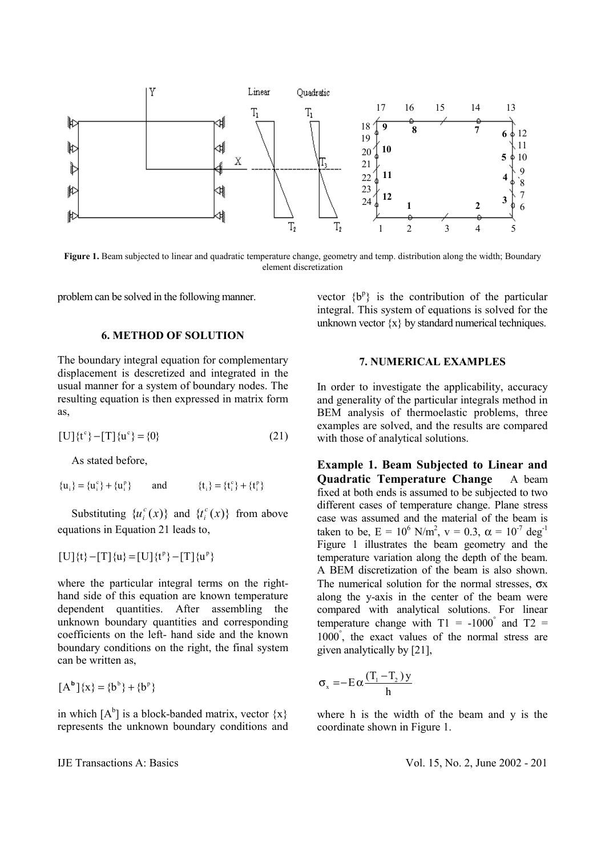

**Figure 1.** Beam subjected to linear and quadratic temperature change, geometry and temp. distribution along the width; Boundary element discretization

problem can be solved in the following manner.

## **6. METHOD OF SOLUTION**

The boundary integral equation for complementary displacement is descretized and integrated in the usual manner for a system of boundary nodes. The resulting equation is then expressed in matrix form as,

$$
[U]{tc} - [T]{uc} = {0}
$$
 (21)

As stated before,

$$
\{u_i\} = \{u_i^c\} + \{u_i^p\} \qquad \text{and} \qquad \{t_i\} = \{t_i^c\} + \{t_i^p\}
$$

Substituting  $\{u_i^c(x)\}\$  and  $\{t_i^c(x)\}\$  from above equations in Equation 21 leads to,

$$
[U]\{t\}-[T]\{u\}=[U]\{t^p\}-[T]\{u^p\}
$$

where the particular integral terms on the righthand side of this equation are known temperature dependent quantities. After assembling the unknown boundary quantities and corresponding coefficients on the left- hand side and the known boundary conditions on the right, the final system can be written as,

$$
[A^b]\{x\} = \{b^b\} + \{b^p\}
$$

in which  $[A^b]$  is a block-banded matrix, vector  $\{x\}$ represents the unknown boundary conditions and

vector  ${b^p}$  is the contribution of the particular integral. This system of equations is solved for the unknown vector  $\{x\}$  by standard numerical techniques.

## **7. NUMERICAL EXAMPLES**

In order to investigate the applicability, accuracy and generality of the particular integrals method in BEM analysis of thermoelastic problems, three examples are solved, and the results are compared with those of analytical solutions.

**Example 1. Beam Subjected to Linear and Quadratic Temperature Change** A beam fixed at both ends is assumed to be subjected to two different cases of temperature change. Plane stress case was assumed and the material of the beam is taken to be,  $E = 10^6$  N/m<sup>2</sup>,  $v = 0.3$ ,  $\alpha = 10^{-7}$  deg<sup>-1</sup> Figure 1 illustrates the beam geometry and the temperature variation along the depth of the beam. A BEM discretization of the beam is also shown. The numerical solution for the normal stresses,  $\sigma$ x along the y-axis in the center of the beam were compared with analytical solutions. For linear temperature change with  $T1 = -1000^{\circ}$  and  $T2 =$ 1000° , the exact values of the normal stress are given analytically by [21],

$$
\sigma_{\mathbf{x}} = -\mathbf{E} \alpha \frac{(\mathbf{T}_{1} - \mathbf{T}_{2}) \mathbf{y}}{h}
$$

where h is the width of the beam and y is the coordinate shown in Figure 1.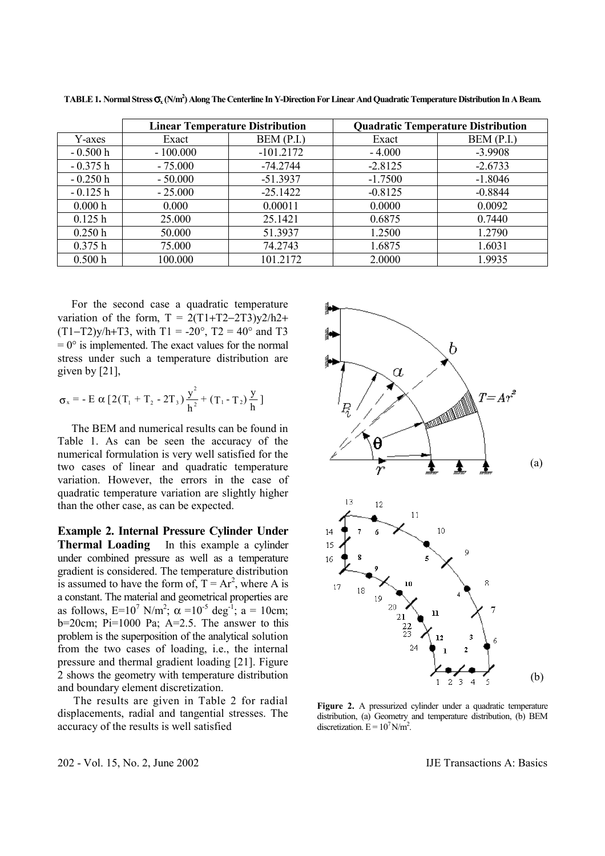|           |            | <b>Linear Temperature Distribution</b> | <b>Quadratic Temperature Distribution</b> |           |  |
|-----------|------------|----------------------------------------|-------------------------------------------|-----------|--|
| Y-axes    | Exact      | BEM(P.I.)                              | Exact                                     | BEM(P.I.) |  |
| $-0.500h$ | $-100.000$ | $-101.2172$                            | $-4.000$                                  | $-3.9908$ |  |
| $-0.375h$ | $-75.000$  | $-74.2744$                             | $-2.8125$                                 | $-2.6733$ |  |
| $-0.250h$ | $-50.000$  | $-51.3937$                             | $-1.7500$                                 | $-1.8046$ |  |
| $-0.125h$ | $-25.000$  | $-25.1422$                             | $-0.8125$                                 | $-0.8844$ |  |
| 0.000h    | 0.000      | 0.00011                                | 0.0000                                    | 0.0092    |  |
| 0.125 h   | 25.000     | 25.1421                                | 0.6875                                    | 0.7440    |  |
| 0.250h    | 50.000     | 51.3937                                | 1.2500                                    | 1.2790    |  |
| 0.375h    | 75.000     | 74.2743                                | 1.6875                                    | 1.6031    |  |
| 0.500 h   | 100.000    | 101.2172                               | 2.0000                                    | 1.9935    |  |

**TABLE 1. Normal Stress** σ**x (N/m2 ) Along The Centerline In Y-Direction For Linear And Quadratic Temperature Distribution In A Beam.** 

 For the second case a quadratic temperature variation of the form,  $T = 2(T1+T2-2T3)y^2/h2+$  $(T1-T2)y/h+T3$ , with T1 = -20°, T2 = 40° and T3  $= 0^{\circ}$  is implemented. The exact values for the normal stress under such a temperature distribution are given by [21],

$$
\sigma_x = - \mathbf{E} \alpha \left[ 2(T_1 + T_2 - 2T_3) \frac{y^2}{h^2} + (T_1 - T_2) \frac{y}{h} \right]
$$

 The BEM and numerical results can be found in Table 1. As can be seen the accuracy of the numerical formulation is very well satisfied for the two cases of linear and quadratic temperature variation. However, the errors in the case of quadratic temperature variation are slightly higher than the other case, as can be expected.

**Example 2. Internal Pressure Cylinder Under Thermal Loading** In this example a cylinder under combined pressure as well as a temperature gradient is considered. The temperature distribution is assumed to have the form of,  $T = Ar^2$ , where A is a constant. The material and geometrical properties are as follows,  $E=10^7$  N/m<sup>2</sup>;  $\alpha =10^{-5}$  deg<sup>-1</sup>; a = 10cm; b=20cm; Pi=1000 Pa; A=2.5. The answer to this problem is the superposition of the analytical solution from the two cases of loading, i.e., the internal pressure and thermal gradient loading [21]. Figure 2 shows the geometry with temperature distribution and boundary element discretization.

 The results are given in Table 2 for radial displacements, radial and tangential stresses. The accuracy of the results is well satisfied



**Figure 2.** A pressurized cylinder under a quadratic temperature distribution, (a) Geometry and temperature distribution, (b) BEM discretization.  $E = 10^7$  N/m<sup>2</sup>.

202 - Vol. 15, No. 2, June 2002 IJE Transactions A: Basics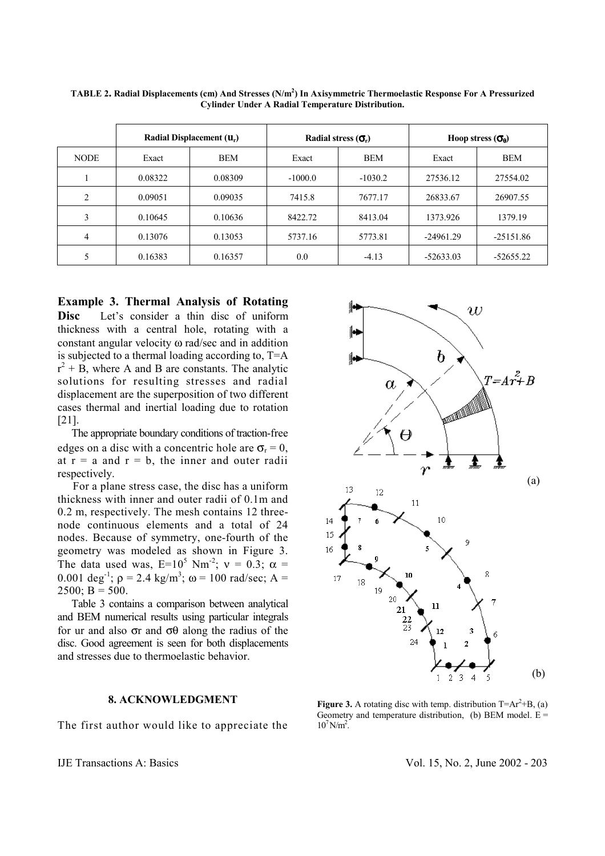|                | Radial Displacement $(\mathbf{u}_r)$ |            | Radial stress $(\sigma_r)$ |           | Hoop stress $(\sigma_{\theta})$ |             |
|----------------|--------------------------------------|------------|----------------------------|-----------|---------------------------------|-------------|
| <b>NODE</b>    | Exact                                | <b>BEM</b> | Exact                      | BEM       | Exact                           | BEM         |
|                | 0.08322                              | 0.08309    | $-1000.0$                  | $-1030.2$ | 27536.12                        | 27554.02    |
| $\overline{2}$ | 0.09051                              | 0.09035    | 7415.8                     | 7677.17   | 26833.67                        | 26907.55    |
| 3              | 0.10645                              | 0.10636    | 8422.72                    | 8413.04   | 1373.926                        | 1379.19     |
| 4              | 0.13076                              | 0.13053    | 5737.16                    | 5773.81   | $-24961.29$                     | $-25151.86$ |
| 5              | 0.16383                              | 0.16357    | 0.0                        | $-4.13$   | $-52633.03$                     | $-52655.22$ |

**TABLE 2. Radial Displacements (cm) And Stresses (N/m2 ) In Axisymmetric Thermoelastic Response For A Pressurized Cylinder Under A Radial Temperature Distribution.**

**Example 3. Thermal Analysis of Rotating** 

**Disc** Let's consider a thin disc of uniform thickness with a central hole, rotating with a constant angular velocity ω rad/sec and in addition is subjected to a thermal loading according to, T=A  $r^2$  + B, where A and B are constants. The analytic solutions for resulting stresses and radial displacement are the superposition of two different cases thermal and inertial loading due to rotation [21].

 The appropriate boundary conditions of traction-free edges on a disc with a concentric hole are  $\sigma_r = 0$ , at  $r = a$  and  $r = b$ , the inner and outer radii respectively.

 For a plane stress case, the disc has a uniform thickness with inner and outer radii of 0.1m and 0.2 m, respectively. The mesh contains 12 threenode continuous elements and a total of 24 nodes. Because of symmetry, one-fourth of the geometry was modeled as shown in Figure 3. The data used was,  $E=10^5$  Nm<sup>-2</sup>;  $v = 0.3$ ;  $\alpha =$ 0.001 deg<sup>-1</sup>;  $\rho = 2.4 \text{ kg/m}^3$ ;  $\omega = 100 \text{ rad/sec}$ ; A =  $2500$ ; B = 500.

 Table 3 contains a comparison between analytical and BEM numerical results using particular integrals for ur and also σr and σθ along the radius of the disc. Good agreement is seen for both displacements and stresses due to thermoelastic behavior.

## **8. ACKNOWLEDGMENT**

The first author would like to appreciate the



**Figure 3.** A rotating disc with temp. distribution  $T = Ar^2 + B$ , (a) Geometry and temperature distribution, (b) BEM model.  $E =$  $10^7$  N/m<sup>2</sup>.